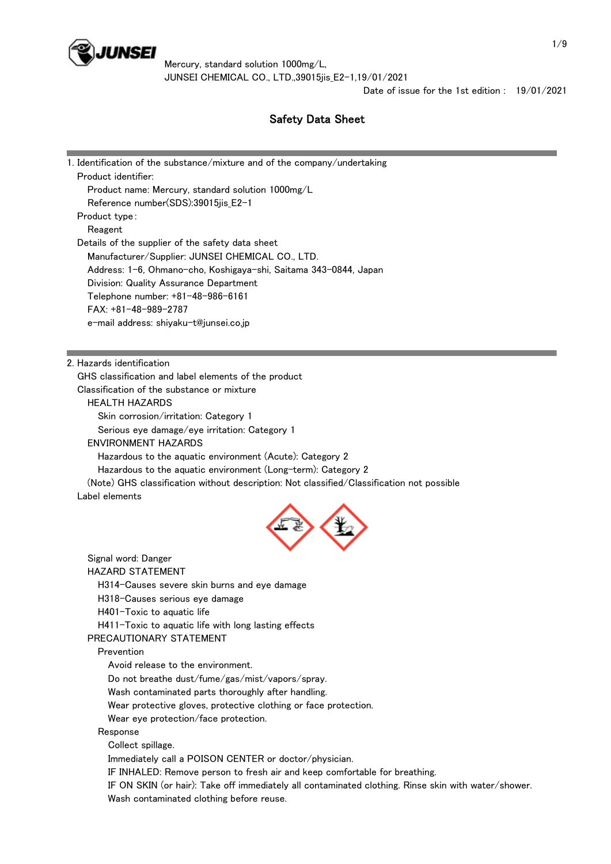

Date of issue for the 1st edition : 19/01/2021

and the control of the control of the control of the control of the control of

# Safety Data Sheet

| 1. Identification of the substance/mixture and of the company/undertaking<br>Product identifier:                         |  |
|--------------------------------------------------------------------------------------------------------------------------|--|
| Product name: Mercury, standard solution 1000mg/L                                                                        |  |
| Reference number(SDS):39015jis_E2-1                                                                                      |  |
| Product type:                                                                                                            |  |
| Reagent                                                                                                                  |  |
| Details of the supplier of the safety data sheet                                                                         |  |
| Manufacturer/Supplier: JUNSEI CHEMICAL CO., LTD.                                                                         |  |
| Address: 1-6, Ohmano-cho, Koshigaya-shi, Saitama 343-0844, Japan                                                         |  |
| Division: Quality Assurance Department<br>Telephone number: +81-48-986-6161                                              |  |
| FAX: +81-48-989-2787                                                                                                     |  |
| e-mail address: shiyaku-t@junsei.co.jp                                                                                   |  |
|                                                                                                                          |  |
|                                                                                                                          |  |
| 2. Hazards identification                                                                                                |  |
| GHS classification and label elements of the product                                                                     |  |
| Classification of the substance or mixture                                                                               |  |
| <b>HEALTH HAZARDS</b>                                                                                                    |  |
| Skin corrosion/irritation: Category 1                                                                                    |  |
| Serious eye damage/eye irritation: Category 1                                                                            |  |
| <b>ENVIRONMENT HAZARDS</b>                                                                                               |  |
| Hazardous to the aquatic environment (Acute): Category 2<br>Hazardous to the aquatic environment (Long-term): Category 2 |  |
| (Note) GHS classification without description: Not classified/Classification not possible                                |  |
| Label elements                                                                                                           |  |
|                                                                                                                          |  |
| Signal word: Danger                                                                                                      |  |
| <b>HAZARD STATEMENT</b>                                                                                                  |  |
| H314-Causes severe skin burns and eye damage                                                                             |  |
| H318-Causes serious eye damage                                                                                           |  |
| H401-Toxic to aquatic life                                                                                               |  |
| H411-Toxic to aquatic life with long lasting effects<br>PRECAUTIONARY STATEMENT                                          |  |
| Prevention                                                                                                               |  |
| Avoid release to the environment.                                                                                        |  |
| Do not breathe dust/fume/gas/mist/vapors/spray.                                                                          |  |
| Wash contaminated parts thoroughly after handling.                                                                       |  |
| Wear protective gloves, protective clothing or face protection.                                                          |  |
| Wear eye protection/face protection.                                                                                     |  |
| Response                                                                                                                 |  |
| Collect spillage.                                                                                                        |  |
| Immediately call a POISON CENTER or doctor/physician.                                                                    |  |
| IF INHALED: Remove person to fresh air and keep comfortable for breathing.                                               |  |
| IF ON SKIN (or hair): Take off immediately all contaminated clothing. Rinse skin with water/shower.                      |  |
| Wash contaminated clothing before reuse.                                                                                 |  |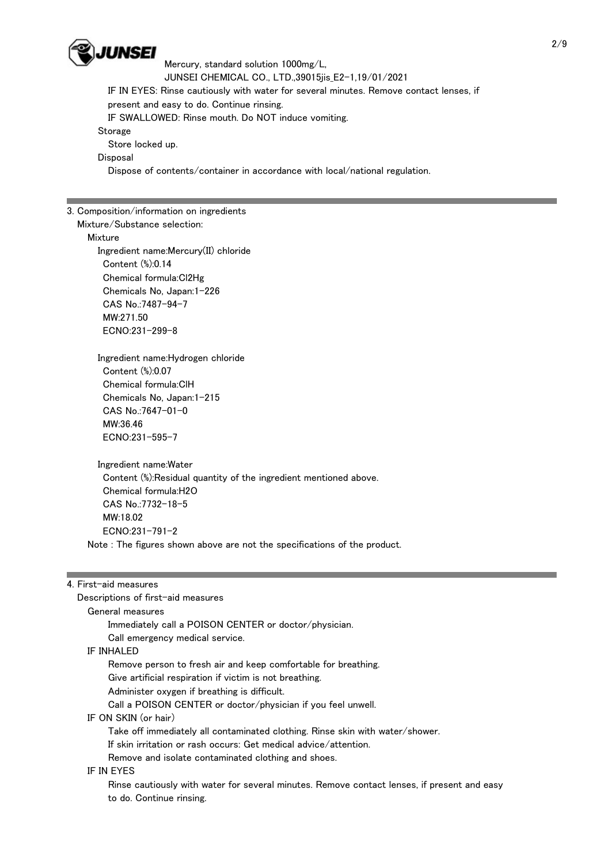

 Mercury, standard solution 1000mg/L, JUNSEI CHEMICAL CO., LTD.,39015jis\_E2-1,19/01/2021 IF IN EYES: Rinse cautiously with water for several minutes. Remove contact lenses, if present and easy to do. Continue rinsing. IF SWALLOWED: Rinse mouth. Do NOT induce vomiting. **Storage**  Store locked up. **Disposal** Dispose of contents/container in accordance with local/national regulation.

3. Composition/information on ingredients

Mixture/Substance selection:

Mixture

 Ingredient name:Mercury(II) chloride Content (%):0.14 Chemical formula:Cl2Hg Chemicals No, Japan:1-226 CAS No.:7487-94-7 MW:271.50 ECNO:231-299-8

 Ingredient name:Hydrogen chloride Content (%):0.07 Chemical formula:ClH Chemicals No, Japan:1-215 CAS No.:7647-01-0 MW:36.46 ECNO:231-595-7

 Ingredient name:Water Content (%):Residual quantity of the ingredient mentioned above. Chemical formula:H2O CAS No.:7732-18-5 MW:18.02 ECNO:231-791-2 Note : The figures shown above are not the specifications of the product.

4. First-aid measures

 General measures Immediately call a POISON CENTER or doctor/physician. Call emergency medical service.

Descriptions of first-aid measures

IF INHALED

Remove person to fresh air and keep comfortable for breathing.

- Give artificial respiration if victim is not breathing.
- Administer oxygen if breathing is difficult.

Call a POISON CENTER or doctor/physician if you feel unwell.

IF ON SKIN (or hair)

Take off immediately all contaminated clothing. Rinse skin with water/shower.

If skin irritation or rash occurs: Get medical advice/attention.

Remove and isolate contaminated clothing and shoes.

IF IN EYES

 Rinse cautiously with water for several minutes. Remove contact lenses, if present and easy to do. Continue rinsing.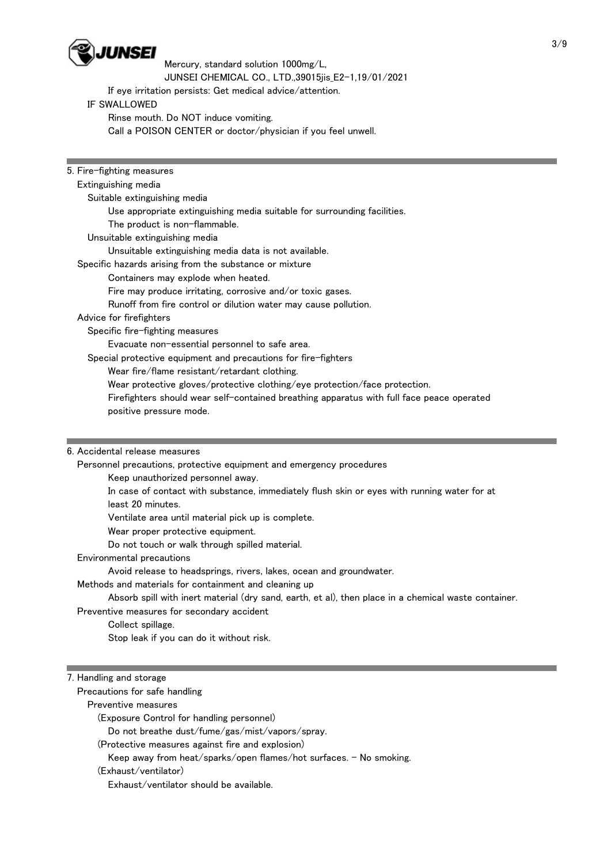

Mercury, standard solution 1000mg/L,

JUNSEI CHEMICAL CO., LTD.,39015jis\_E2-1,19/01/2021

If eye irritation persists: Get medical advice/attention.

### IF SWALLOWED

Rinse mouth. Do NOT induce vomiting.

Call a POISON CENTER or doctor/physician if you feel unwell.

| 5. Fire-fighting measures                                                                   |  |
|---------------------------------------------------------------------------------------------|--|
| Extinguishing media                                                                         |  |
| Suitable extinguishing media                                                                |  |
| Use appropriate extinguishing media suitable for surrounding facilities.                    |  |
| The product is non-flammable.                                                               |  |
| Unsuitable extinguishing media                                                              |  |
| Unsuitable extinguishing media data is not available.                                       |  |
| Specific hazards arising from the substance or mixture                                      |  |
| Containers may explode when heated.                                                         |  |
| Fire may produce irritating, corrosive and/or toxic gases.                                  |  |
| Runoff from fire control or dilution water may cause pollution.                             |  |
| Advice for firefighters                                                                     |  |
| Specific fire-fighting measures                                                             |  |
| Evacuate non-essential personnel to safe area.                                              |  |
| Special protective equipment and precautions for fire-fighters                              |  |
| Wear fire/flame resistant/retardant clothing.                                               |  |
| Wear protective gloves/protective clothing/eye protection/face protection.                  |  |
| Firefighters should wear self-contained breathing apparatus with full face peace operated   |  |
| positive pressure mode.                                                                     |  |
|                                                                                             |  |
|                                                                                             |  |
| 6. Accidental release measures                                                              |  |
| Personnel precautions, protective equipment and emergency procedures                        |  |
| Keep unauthorized personnel away.                                                           |  |
| In case of contact with substance, immediately flush skin or eyes with running water for at |  |
| least 20 minutes.                                                                           |  |

Ventilate area until material pick up is complete.

Wear proper protective equipment.

Do not touch or walk through spilled material.

Environmental precautions

Avoid release to headsprings, rivers, lakes, ocean and groundwater.

Methods and materials for containment and cleaning up

Absorb spill with inert material (dry sand, earth, et al), then place in a chemical waste container.

Preventive measures for secondary accident

Collect spillage.

Stop leak if you can do it without risk.

## 7. Handling and storage

Precautions for safe handling

Preventive measures

(Exposure Control for handling personnel)

Do not breathe dust/fume/gas/mist/vapors/spray.

(Protective measures against fire and explosion)

Keep away from heat/sparks/open flames/hot surfaces. - No smoking.

(Exhaust/ventilator)

Exhaust/ventilator should be available.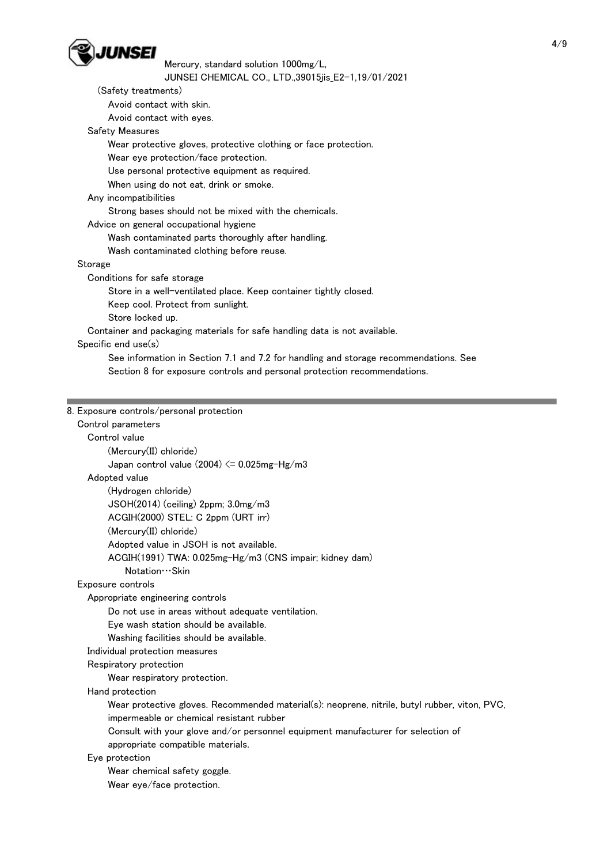

Mercury, standard solution 1000mg/L,

#### JUNSEI CHEMICAL CO., LTD.,39015jis\_E2-1,19/01/2021

| JUNSEI CHEMICAL CO., LTD.,39015jis_E2-1,19/01/2021                                   |  |
|--------------------------------------------------------------------------------------|--|
| (Safety treatments)                                                                  |  |
| Avoid contact with skin.                                                             |  |
| Avoid contact with eyes.                                                             |  |
| <b>Safety Measures</b>                                                               |  |
| Wear protective gloves, protective clothing or face protection.                      |  |
| Wear eye protection/face protection.                                                 |  |
| Use personal protective equipment as required.                                       |  |
| When using do not eat, drink or smoke.                                               |  |
| Any incompatibilities                                                                |  |
| Strong bases should not be mixed with the chemicals.                                 |  |
| Advice on general occupational hygiene                                               |  |
| Wash contaminated parts thoroughly after handling.                                   |  |
| Wash contaminated clothing before reuse.                                             |  |
| Storage                                                                              |  |
| Conditions for safe storage                                                          |  |
| Store in a well-ventilated place. Keep container tightly closed.                     |  |
| Keep cool. Protect from sunlight.                                                    |  |
| Store locked up.                                                                     |  |
| Container and packaging materials for safe handling data is not available.           |  |
| Specific end use(s)                                                                  |  |
| See information in Section 7.1 and 7.2 for handling and storage recommendations. See |  |
| Section 8 for exposure controls and personal protection recommendations.             |  |
|                                                                                      |  |
|                                                                                      |  |
| 8. Exposure controls/personal protection                                             |  |
| Control parameters                                                                   |  |
| Control value                                                                        |  |
| (Mercury(II) chloride)                                                               |  |
| Japan control value $(2004) \le 0.025$ mg-Hg/m3                                      |  |
| Adopted value                                                                        |  |
| (Hydrogen chloride)                                                                  |  |
| JSOH(2014) (ceiling) 2ppm; 3.0mg/m3                                                  |  |
| ACGIH(2000) STEL: C 2ppm (URT irr)                                                   |  |
| (Mercury(II) chloride)                                                               |  |
| Adopted value in JSOH is not available.                                              |  |
| ACGIH(1991) TWA: 0.025mg-Hg/m3 (CNS impair; kidney dam)                              |  |
| Notation · · · Skin                                                                  |  |
| Exposure controls                                                                    |  |

Appropriate engineering controls

Do not use in areas without adequate ventilation.

Eye wash station should be available.

Washing facilities should be available.

Individual protection measures

Respiratory protection

Wear respiratory protection.

Hand protection

Wear protective gloves. Recommended material(s): neoprene, nitrile, butyl rubber, viton, PVC,

impermeable or chemical resistant rubber

 Consult with your glove and/or personnel equipment manufacturer for selection of appropriate compatible materials.

Eye protection

Wear chemical safety goggle.

Wear eye/face protection.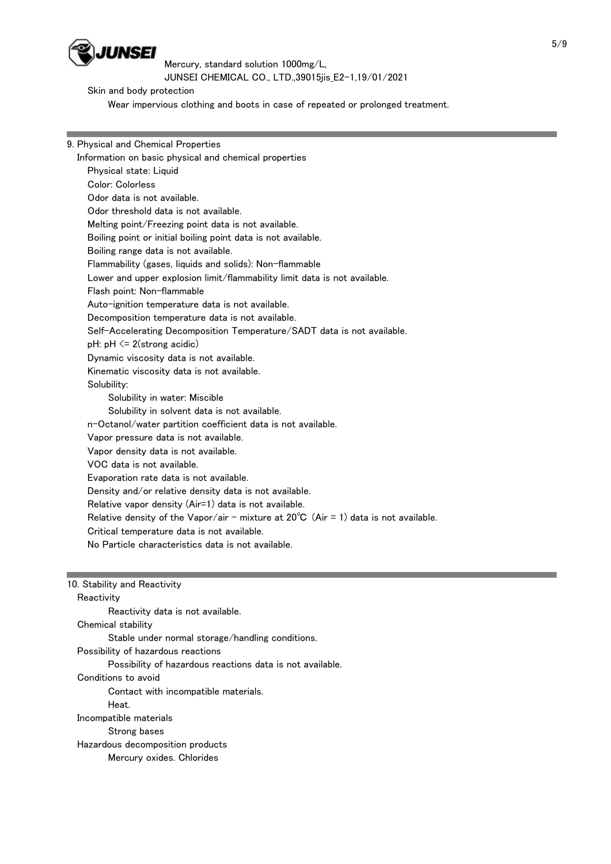

Skin and body protection

Wear impervious clothing and boots in case of repeated or prolonged treatment.

9. Physical and Chemical Properties Information on basic physical and chemical properties Physical state: Liquid Color: Colorless Odor data is not available. Odor threshold data is not available. Melting point/Freezing point data is not available. Boiling point or initial boiling point data is not available. Boiling range data is not available. Flammability (gases, liquids and solids): Non-flammable Lower and upper explosion limit/flammability limit data is not available. Flash point: Non-flammable Auto-ignition temperature data is not available. Decomposition temperature data is not available. Self-Accelerating Decomposition Temperature/SADT data is not available.  $pH: pH \leq 2$ (strong acidic) Dynamic viscosity data is not available. Kinematic viscosity data is not available. Solubility: Solubility in water: Miscible Solubility in solvent data is not available. n-Octanol/water partition coefficient data is not available. Vapor pressure data is not available. Vapor density data is not available. VOC data is not available. Evaporation rate data is not available. Density and/or relative density data is not available. Relative vapor density (Air=1) data is not available. Relative density of the Vapor/air - mixture at  $20^{\circ}$ C (Air = 1) data is not available. Critical temperature data is not available. No Particle characteristics data is not available. 10. Stability and Reactivity **Reactivity**  Reactivity data is not available. Chemical stability Stable under normal storage/handling conditions. Possibility of hazardous reactions

Possibility of hazardous reactions data is not available.

Conditions to avoid

Contact with incompatible materials.

Heat.

Incompatible materials

Strong bases

Hazardous decomposition products

Mercury oxides. Chlorides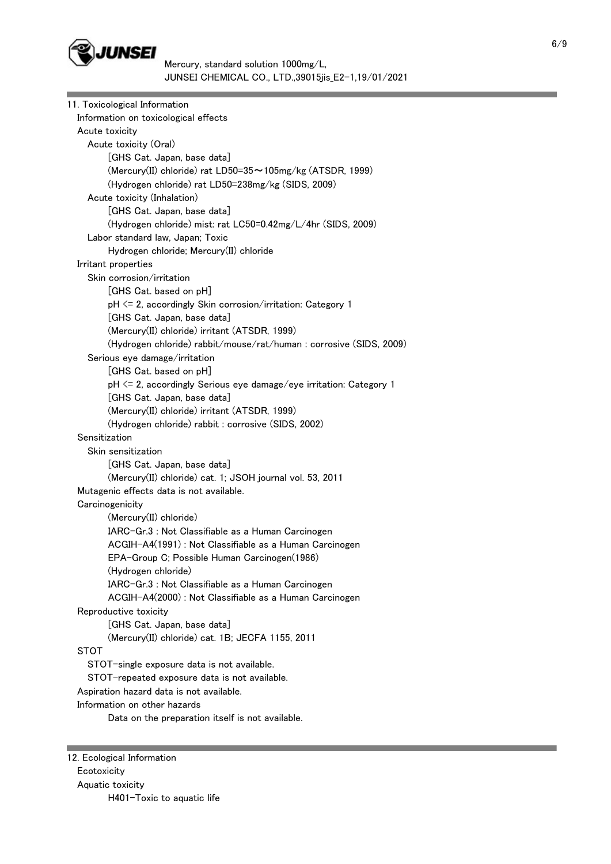

| 11. Toxicological Information                                                             |
|-------------------------------------------------------------------------------------------|
| Information on toxicological effects                                                      |
| Acute toxicity                                                                            |
| Acute toxicity (Oral)                                                                     |
| [GHS Cat. Japan, base data]                                                               |
| (Mercury(II) chloride) rat LD50=35~105mg/kg (ATSDR, 1999)                                 |
| (Hydrogen chloride) rat LD50=238mg/kg (SIDS, 2009)                                        |
| Acute toxicity (Inhalation)                                                               |
| [GHS Cat. Japan, base data]                                                               |
| (Hydrogen chloride) mist: rat LC50=0.42mg/L/4hr (SIDS, 2009)                              |
| Labor standard law, Japan; Toxic                                                          |
| Hydrogen chloride; Mercury(II) chloride                                                   |
| Irritant properties                                                                       |
| Skin corrosion/irritation                                                                 |
| [GHS Cat. based on pH]                                                                    |
| pH <= 2, accordingly Skin corrosion/irritation: Category 1                                |
| [GHS Cat. Japan, base data]                                                               |
| (Mercury(II) chloride) irritant (ATSDR, 1999)                                             |
| (Hydrogen chloride) rabbit/mouse/rat/human : corrosive (SIDS, 2009)                       |
| Serious eye damage/irritation                                                             |
| [GHS Cat. based on pH]                                                                    |
| pH <= 2, accordingly Serious eye damage/eye irritation: Category 1                        |
| [GHS Cat. Japan, base data]                                                               |
| (Mercury(II) chloride) irritant (ATSDR, 1999)                                             |
| (Hydrogen chloride) rabbit : corrosive (SIDS, 2002)                                       |
| Sensitization                                                                             |
| Skin sensitization                                                                        |
| [GHS Cat. Japan, base data]                                                               |
| (Mercury(II) chloride) cat. 1; JSOH journal vol. 53, 2011                                 |
| Mutagenic effects data is not available.                                                  |
| Carcinogenicity                                                                           |
| (Mercury(II) chloride)                                                                    |
| IARC-Gr.3 : Not Classifiable as a Human Carcinogen                                        |
| ACGIH-A4(1991) : Not Classifiable as a Human Carcinogen                                   |
| EPA-Group C; Possible Human Carcinogen(1986)                                              |
| (Hydrogen chloride)                                                                       |
| IARC-Gr.3 : Not Classifiable as a Human Carcinogen                                        |
| ACGIH-A4(2000) : Not Classifiable as a Human Carcinogen                                   |
| Reproductive toxicity                                                                     |
| [GHS Cat. Japan, base data]<br>(Mercury(II) chloride) cat. 1B; JECFA 1155, 2011           |
| <b>STOT</b>                                                                               |
| STOT-single exposure data is not available.                                               |
|                                                                                           |
| STOT-repeated exposure data is not available.<br>Aspiration hazard data is not available. |
| Information on other hazards                                                              |
| Data on the preparation itself is not available.                                          |
|                                                                                           |
|                                                                                           |
|                                                                                           |

12. Ecological Information Ecotoxicity Aquatic toxicity H401-Toxic to aquatic life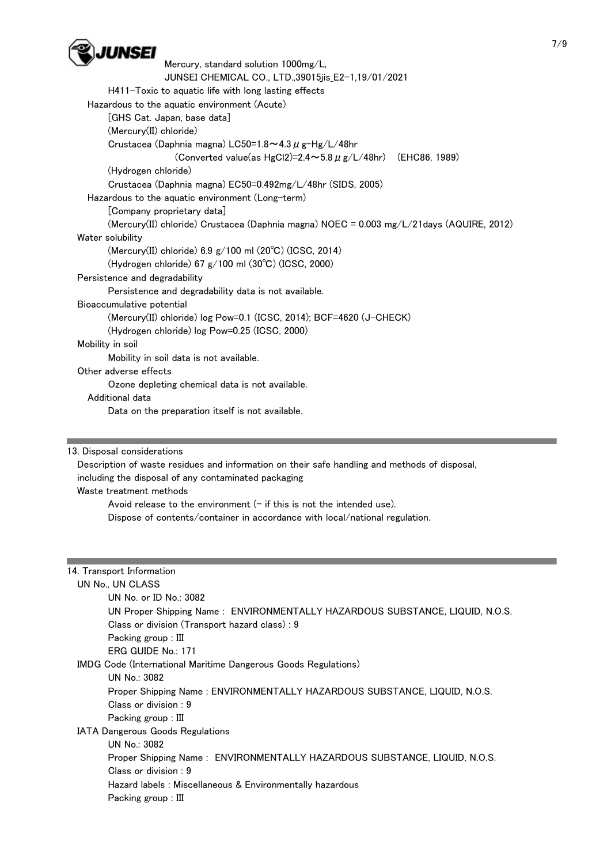

 Mercury, standard solution 1000mg/L, JUNSEI CHEMICAL CO., LTD.,39015jis\_E2-1,19/01/2021 H411-Toxic to aquatic life with long lasting effects Hazardous to the aquatic environment (Acute) [GHS Cat. Japan, base data] (Mercury(II) chloride) Crustacea (Daphnia magna) LC50=1.8 $\sim$ 4.3  $\mu$  g-Hg/L/48hr (Converted value(as HgCl2)=2.4 $\sim$ 5.8  $\mu$  g/L/48hr) (EHC86, 1989) (Hydrogen chloride) Crustacea (Daphnia magna) EC50=0.492mg/L/48hr (SIDS, 2005) Hazardous to the aquatic environment (Long-term) [Company proprietary data] (Mercury(II) chloride) Crustacea (Daphnia magna) NOEC = 0.003 mg/L/21days (AQUIRE, 2012) Water solubility (Mercury(II) chloride) 6.9 g/100 ml (20℃) (ICSC, 2014) (Hydrogen chloride) 67 g/100 ml (30℃) (ICSC, 2000) Persistence and degradability Persistence and degradability data is not available. Bioaccumulative potential (Mercury(II) chloride) log Pow=0.1 (ICSC, 2014); BCF=4620 (J-CHECK) (Hydrogen chloride) log Pow=0.25 (ICSC, 2000) Mobility in soil Mobility in soil data is not available. Other adverse effects Ozone depleting chemical data is not available. Additional data Data on the preparation itself is not available.

13. Disposal considerations

 Description of waste residues and information on their safe handling and methods of disposal, including the disposal of any contaminated packaging

Waste treatment methods

Avoid release to the environment  $(-$  if this is not the intended use). Dispose of contents/container in accordance with local/national regulation.

#### 14. Transport Information

UN No., UN CLASS

 UN No. or ID No.: 3082 UN Proper Shipping Name : ENVIRONMENTALLY HAZARDOUS SUBSTANCE, LIQUID, N.O.S. Class or division (Transport hazard class) : 9 Packing group : III ERG GUIDE No.: 171 IMDG Code (International Maritime Dangerous Goods Regulations) UN No.: 3082 Proper Shipping Name : ENVIRONMENTALLY HAZARDOUS SUBSTANCE, LIQUID, N.O.S. Class or division : 9 Packing group : III IATA Dangerous Goods Regulations UN No.: 3082 Proper Shipping Name : ENVIRONMENTALLY HAZARDOUS SUBSTANCE, LIQUID, N.O.S. Class or division : 9 Hazard labels : Miscellaneous & Environmentally hazardous Packing group : III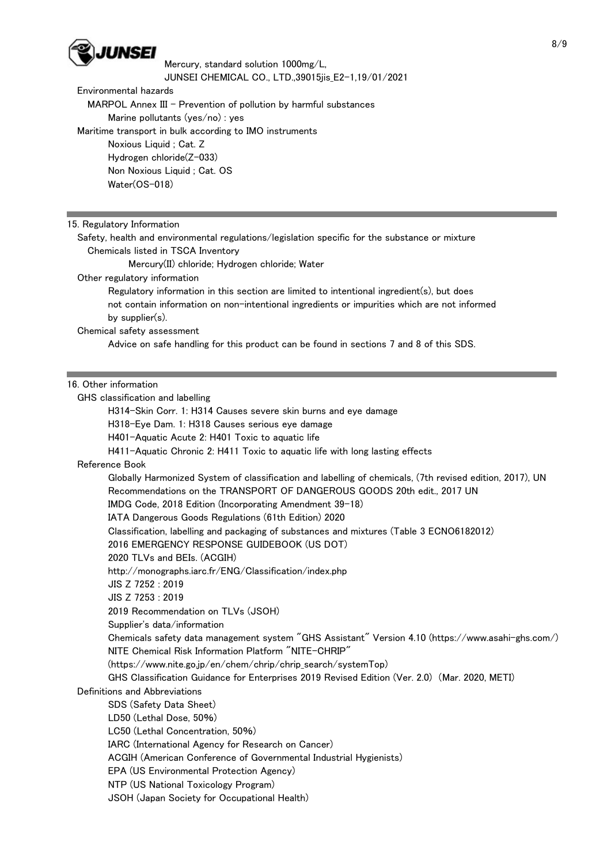

Environmental hazards

MARPOL Annex III - Prevention of pollution by harmful substances

Marine pollutants (yes/no) : yes

Maritime transport in bulk according to IMO instruments

 Noxious Liquid ; Cat. Z Hydrogen chloride(Z-033) Non Noxious Liquid ; Cat. OS

Water(OS-018)

15. Regulatory Information

 Safety, health and environmental regulations/legislation specific for the substance or mixture Chemicals listed in TSCA Inventory

Mercury(II) chloride; Hydrogen chloride; Water

Other regulatory information

 Regulatory information in this section are limited to intentional ingredient(s), but does not contain information on non-intentional ingredients or impurities which are not informed by supplier(s).

Chemical safety assessment

Advice on safe handling for this product can be found in sections 7 and 8 of this SDS.

## 16. Other information

GHS classification and labelling

H314-Skin Corr. 1: H314 Causes severe skin burns and eye damage

H318-Eye Dam. 1: H318 Causes serious eye damage

H401-Aquatic Acute 2: H401 Toxic to aquatic life

H411-Aquatic Chronic 2: H411 Toxic to aquatic life with long lasting effects

Reference Book

 Globally Harmonized System of classification and labelling of chemicals, (7th revised edition, 2017), UN Recommendations on the TRANSPORT OF DANGEROUS GOODS 20th edit., 2017 UN

IMDG Code, 2018 Edition (Incorporating Amendment 39-18)

IATA Dangerous Goods Regulations (61th Edition) 2020

Classification, labelling and packaging of substances and mixtures (Table 3 ECNO6182012)

2016 EMERGENCY RESPONSE GUIDEBOOK (US DOT)

2020 TLVs and BEIs. (ACGIH)

http://monographs.iarc.fr/ENG/Classification/index.php

JIS Z 7252 : 2019

JIS Z 7253 : 2019

2019 Recommendation on TLVs (JSOH)

Supplier's data/information

 Chemicals safety data management system "GHS Assistant" Version 4.10 (https://www.asahi-ghs.com/) NITE Chemical Risk Information Platform "NITE-CHRIP"

(https://www.nite.go.jp/en/chem/chrip/chrip\_search/systemTop)

GHS Classification Guidance for Enterprises 2019 Revised Edition (Ver. 2.0) (Mar. 2020, METI)

Definitions and Abbreviations

SDS (Safety Data Sheet)

LD50 (Lethal Dose, 50%)

LC50 (Lethal Concentration, 50%)

IARC (International Agency for Research on Cancer)

ACGIH (American Conference of Governmental Industrial Hygienists)

EPA (US Environmental Protection Agency)

NTP (US National Toxicology Program)

JSOH (Japan Society for Occupational Health)